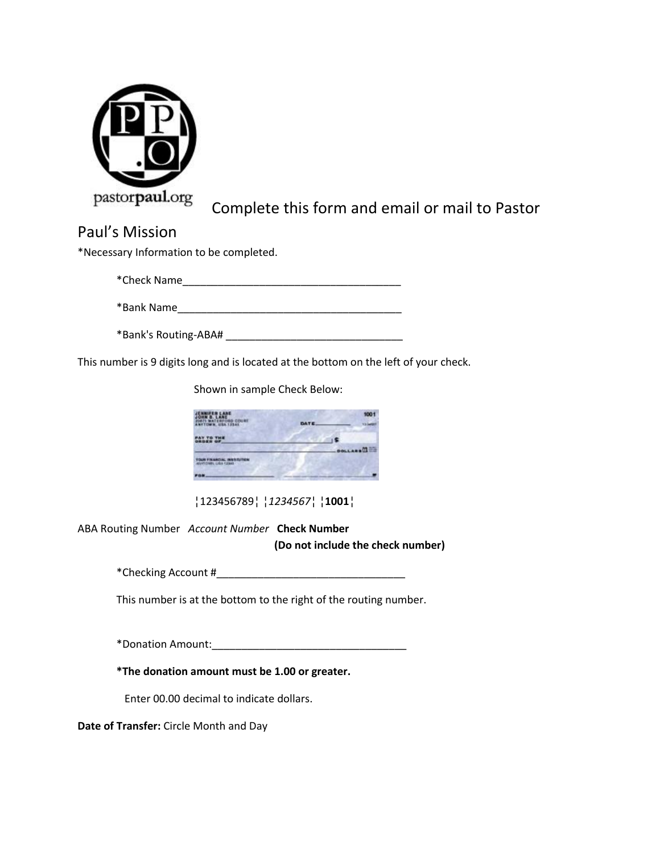

## Complete this form and email or mail to Pastor

## Paul's Mission

\*Necessary Information to be completed.

\*Check Name\_\_\_\_\_\_\_\_\_\_\_\_\_\_\_\_\_\_\_\_\_\_\_\_\_\_\_\_\_\_\_\_\_\_\_\_\_

\*Bank Name\_\_\_\_\_\_\_\_\_\_\_\_\_\_\_\_\_\_\_\_\_\_\_\_\_\_\_\_\_\_\_\_\_\_\_\_\_\_

\*Bank's Routing-ABA# \_\_\_\_\_\_\_\_\_\_\_\_\_\_\_\_\_\_\_\_\_\_\_\_\_\_\_\_\_\_

This number is 9 digits long and is located at the bottom on the left of your check.

Shown in sample Check Below:

| JENNIFER LANE<br>2087) WATERFORD COURS<br>ANTTOWN, USA 12341 | DATE | 1001           |
|--------------------------------------------------------------|------|----------------|
| PAY TO THE<br>DROSR OF                                       |      |                |
|                                                              |      | <b>DOLLARS</b> |
| YOUR FINANCIAL INSTITUTION                                   |      |                |
|                                                              |      |                |

¦123456789¦ ¦*1234567*¦ ¦**1001**¦

ABA Routing Number *Account Number* **Check Number**

**(Do not include the check number)**

\*Checking Account #\_\_\_\_\_\_\_\_\_\_\_\_\_\_\_\_\_\_\_\_\_\_\_\_\_\_\_\_\_\_\_\_

This number is at the bottom to the right of the routing number.

\*Donation Amount:\_\_\_\_\_\_\_\_\_\_\_\_\_\_\_\_\_\_\_\_\_\_\_\_\_\_\_\_\_\_\_\_\_

**\*The donation amount must be 1.00 or greater.**

Enter 00.00 decimal to indicate dollars.

**Date of Transfer:** Circle Month and Day